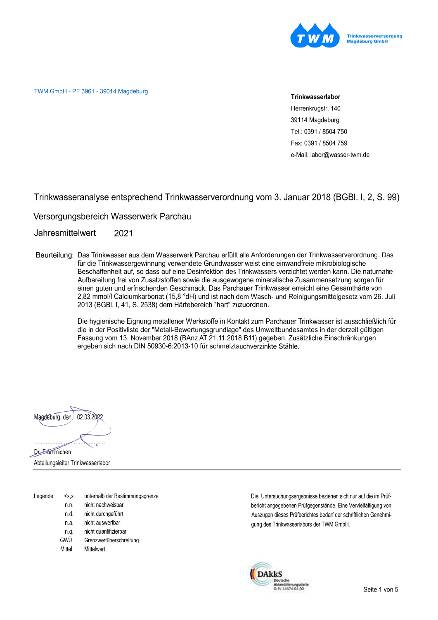

TWM GmbH - PF 3961 - 39014 Magdeburg

#### Trinkwasserlabor

Herrenkrugstr. 140 39114 Magdeburg Tel.: 0391 / 8504 750 Fax: 0391 / 8504 759 e-Mail: labor@wasser-twm.de

Trinkwasseranalyse entsprechend Trinkwasserverordnung vom 3. Januar 2018 (BGBI. I, 2, S. 99)

Versorgungsbereich Wasserwerk Parchau

Jahresmittelwert 2021

Beurteilung: Das Trinkwasser aus dem Wasserwerk Parchau erfüllt alle Anforderungen der Trinkwasserverordnung. Das für die Trinkwassergewinnung verwendete Grundwasser weist eine einwandfreie mikrobiologische Beschaffenheit auf, so dass auf eine Desinfektion des Trinkwassers verzichtet werden kann. Die naturnahe Aufbereitung frei von Zusatzstoffen sowie die ausgewogene mineralische Zusammensetzung sorgen für einen guten und erfrischenden Geschmack. Das Parchauer Trinkwasser erreicht eine Gesamthärte von 2,82 mmol/l Calciumkarbonat (15,8 °dH) und ist nach dem Wasch- und Reinigungsmittelgesetz vom 26. Juli 2013 (BGBI. I, 41, S. 2538) dem Härtebereich "hart" zuzuordnen.

> Die hygienische Eignung metallener Werkstoffe in Kontakt zum Parchauer Trinkwasser ist ausschließlich für die in der Positivliste der "Metall-Bewertungsgrundlage" des Umweltbundesamtes in der derzeit gültigen Fassung vom 13. November 2018 (BAnz AT 21.11.2018 B11) gegeben. Zusätzliche Einschränkungen ergeben sich nach DIN 50930-6:2013-10 für schmelztauchverzinkte Stähle.



Abteilungsleiter Trinkwasserlabor

| Legende: | $<$ $X$ , $X$ | unterhalb der Bestimmungsgrenze |
|----------|---------------|---------------------------------|
|          | n.n.          | nicht nachweisbar               |
|          | n.d.          | nicht durchgeführt              |
|          | n.a.          | nicht auswertbar                |
|          | n.a           | nicht quantifizierbar           |
|          | GWÜ           | Grenzwertüberschreitung         |
|          | Mittel        | Mittelwert                      |
|          |               |                                 |

Die Untersuchungsergebnisse beziehen sich nur auf die im Prüfbericht angegebenen Prüfgegenstände. Eine Vervielfältigung von Auszügen dieses Prüfberichtes bedarf der schriftlichen Genehmigung des Trinkwasserlabors der TWM GmbH.

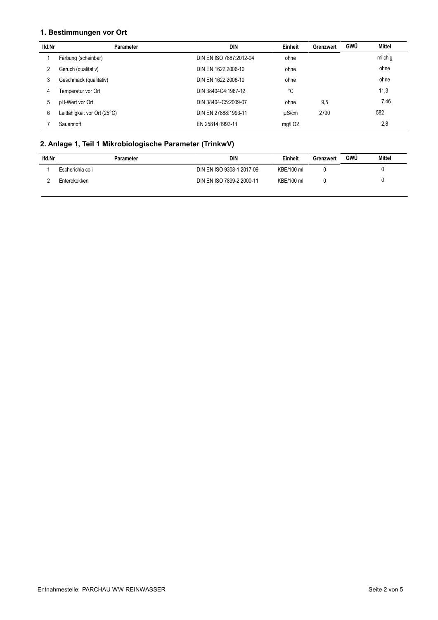### 1. Bestimmungen vor Ort

| lfd Nr | Parameter                    | DIN                     | Einheit    | Grenzwert | GWÜ | Mittel  |
|--------|------------------------------|-------------------------|------------|-----------|-----|---------|
|        | Färbung (scheinbar)          | DIN EN ISO 7887:2012-04 | ohne       |           |     | milchig |
|        | Geruch (qualitativ)          | DIN EN 1622:2006-10     | ohne       |           |     | ohne    |
| 3      | Geschmack (qualitativ)       | DIN EN 1622:2006-10     | ohne       |           |     | ohne    |
| 4      | Temperatur vor Ort           | DIN 38404C4:1967-12     | °C         |           |     | 11,3    |
| 5      | pH-Wert vor Ort              | DIN 38404-C5:2009-07    | ohne       | 9,5       |     | 7,46    |
| 6      | Leitfähigkeit vor Ort (25°C) | DIN EN 27888:1993-11    | $\mu$ S/cm | 2790      |     | 582     |
|        | Sauerstoff                   | EN 25814:1992-11        | $mg/l$ O2  |           |     | 2,8     |

# 2. Anlage 1, Teil 1 Mikrobiologische Parameter (TrinkwV)

| lfd.Nr | Parameter        | DIN                       | Einheit    | Grenzwert | GWÜ | <b>Mittel</b> |
|--------|------------------|---------------------------|------------|-----------|-----|---------------|
|        | Escherichia coli | DIN EN ISO 9308-1:2017-09 | KBE/100 ml |           |     |               |
|        | Enterokokken     | DIN EN ISO 7899-2:2000-11 | KBE/100 ml |           |     |               |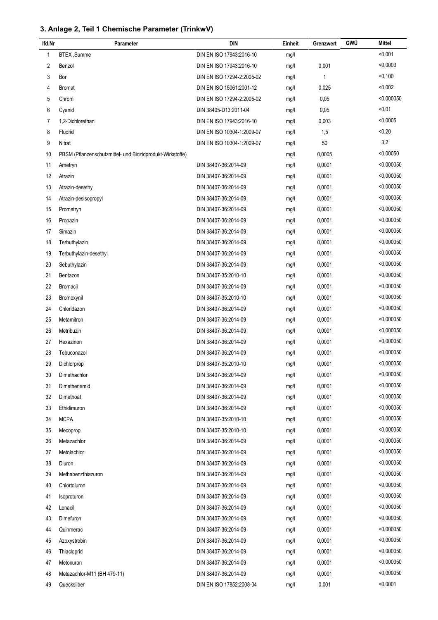# 3. Anlage 2, Teil 1 Chemische Parameter (TrinkwV)

| lfd.Nr | Parameter                                                 | DIN                        | Einheit | Grenzwert | GWÜ | Mittel       |
|--------|-----------------------------------------------------------|----------------------------|---------|-----------|-----|--------------|
| 1      | BTEX, Summe                                               | DIN EN ISO 17943:2016-10   | mg/l    |           |     | < 0,001      |
| 2      | Benzol                                                    | DIN EN ISO 17943:2016-10   | mg/l    | 0,001     |     | < 0,0003     |
| 3      | Bor                                                       | DIN EN ISO 17294-2:2005-02 | mg/l    | 1         |     | < 0,100      |
| 4      | Bromat                                                    | DIN EN ISO 15061:2001-12   | mg/l    | 0,025     |     | < 0,002      |
| 5      | Chrom                                                     | DIN EN ISO 17294-2:2005-02 | mg/l    | 0,05      |     | < 0,000050   |
| 6      | Cyanid                                                    | DIN 38405-D13:2011-04      | mg/l    | 0,05      |     | $0,01$       |
| 7      | 1,2-Dichlorethan                                          | DIN EN ISO 17943:2016-10   | mg/l    | 0,003     |     | < 0,0005     |
| 8      | Fluorid                                                   | DIN EN ISO 10304-1:2009-07 | mg/l    | 1,5       |     | < 0, 20      |
| 9      | Nitrat                                                    | DIN EN ISO 10304-1:2009-07 | mg/l    | 50        |     | 3,2          |
| 10     | PBSM (Pflanzenschutzmittel- und Biozidprodukt-Wirkstoffe) |                            | mg/l    | 0,0005    |     | $<$ 0,00050  |
| 11     | Ametryn                                                   | DIN 38407-36:2014-09       | mg/l    | 0,0001    |     | < 0,000050   |
| 12     | Atrazin                                                   | DIN 38407-36:2014-09       | mg/l    | 0,0001    |     | < 0,000050   |
| 13     | Atrazin-desethyl                                          | DIN 38407-36:2014-09       | mg/l    | 0,0001    |     | < 0,000050   |
| 14     | Atrazin-desisopropyl                                      | DIN 38407-36:2014-09       | mg/l    | 0,0001    |     | < 0.000050   |
| 15     | Prometryn                                                 | DIN 38407-36:2014-09       | mg/l    | 0,0001    |     | < 0,000050   |
| 16     | Propazin                                                  | DIN 38407-36:2014-09       | mg/l    | 0,0001    |     | < 0,000050   |
| 17     | Simazin                                                   | DIN 38407-36:2014-09       | mg/l    | 0,0001    |     | < 0,000050   |
| 18     | Terbuthylazin                                             | DIN 38407-36:2014-09       | mg/l    | 0,0001    |     | < 0,000050   |
| 19     | Terbuthylazin-desethyl                                    | DIN 38407-36:2014-09       | mg/l    | 0,0001    |     | $<$ 0,000050 |
| 20     | Sebuthylazin                                              | DIN 38407-36:2014-09       | mg/l    | 0,0001    |     | < 0,000050   |
| 21     | Bentazon                                                  | DIN 38407-35:2010-10       | mg/l    | 0,0001    |     | < 0,000050   |
| 22     | <b>Bromacil</b>                                           | DIN 38407-36:2014-09       | mg/l    | 0,0001    |     | $<$ 0,000050 |
| 23     | Bromoxynil                                                | DIN 38407-35:2010-10       | mg/l    | 0,0001    |     | < 0,000050   |
| 24     | Chloridazon                                               | DIN 38407-36:2014-09       | mg/l    | 0,0001    |     | < 0,000050   |
| 25     | Metamitron                                                | DIN 38407-36:2014-09       | mg/l    | 0,0001    |     | < 0,000050   |
| 26     | Metribuzin                                                | DIN 38407-36:2014-09       | mg/l    | 0,0001    |     | < 0,000050   |
| 27     | Hexazinon                                                 | DIN 38407-36:2014-09       | mg/l    | 0,0001    |     | < 0,000050   |
| 28     | Tebuconazol                                               | DIN 38407-36:2014-09       | mg/l    | 0,0001    |     | < 0.000050   |
| 29     | Dichlorprop                                               | DIN 38407-35:2010-10       | mq/l    | 0,0001    |     | $<$ 0,000050 |
| 30     | Dimethachlor                                              | DIN 38407-36:2014-09       | mg/l    | 0,0001    |     | < 0,000050   |
| 31     | Dimethenamid                                              | DIN 38407-36:2014-09       | mg/l    | 0,0001    |     | $<$ 0,000050 |
| 32     | Dimethoat                                                 | DIN 38407-36:2014-09       | mg/l    | 0,0001    |     | < 0,000050   |
| 33     | Ethidimuron                                               | DIN 38407-36:2014-09       | mg/l    | 0,0001    |     | $<$ 0,000050 |
| 34     | <b>MCPA</b>                                               | DIN 38407-35:2010-10       | mg/l    | 0,0001    |     | < 0,000050   |
| 35     | Mecoprop                                                  | DIN 38407-35:2010-10       | mg/l    | 0,0001    |     | $<$ 0,000050 |
| 36     | Metazachlor                                               | DIN 38407-36:2014-09       | mg/l    | 0,0001    |     | < 0.000050   |
| 37     | Metolachlor                                               | DIN 38407-36:2014-09       | mg/l    | 0,0001    |     | $<$ 0,000050 |
| 38     | Diuron                                                    | DIN 38407-36:2014-09       | mg/l    | 0,0001    |     | < 0,000050   |
| 39     | Methabenzthiazuron                                        | DIN 38407-36:2014-09       | mg/l    | 0,0001    |     | $<$ 0,000050 |
| 40     | Chlortoluron                                              | DIN 38407-36:2014-09       | mg/l    | 0,0001    |     | < 0,000050   |
| 41     | Isoproturon                                               | DIN 38407-36:2014-09       | mg/l    | 0,0001    |     | $<$ 0,000050 |
| 42     | Lenacil                                                   | DIN 38407-36:2014-09       | mg/l    | 0,0001    |     | < 0,000050   |
| 43     | Dimefuron                                                 | DIN 38407-36:2014-09       | mg/l    | 0,0001    |     | $<$ 0,000050 |
| 44     | Quinmerac                                                 | DIN 38407-36:2014-09       | mg/l    | 0,0001    |     | < 0,000050   |
| 45     | Azoxystrobin                                              | DIN 38407-36:2014-09       | mg/l    | 0,0001    |     | $<$ 0,000050 |
| 46     | Thiacloprid                                               | DIN 38407-36:2014-09       | mg/l    | 0,0001    |     | < 0,000050   |
| 47     | Metoxuron                                                 | DIN 38407-36:2014-09       | mg/l    | 0,0001    |     | $<$ 0,000050 |
| 48     | Metazachlor-M11 (BH 479-11)                               | DIN 38407-36:2014-09       | mg/l    | 0,0001    |     | < 0,000050   |
| 49     | Quecksilber                                               | DIN EN ISO 17852:2008-04   | mg/l    | 0,001     |     | < 0,0001     |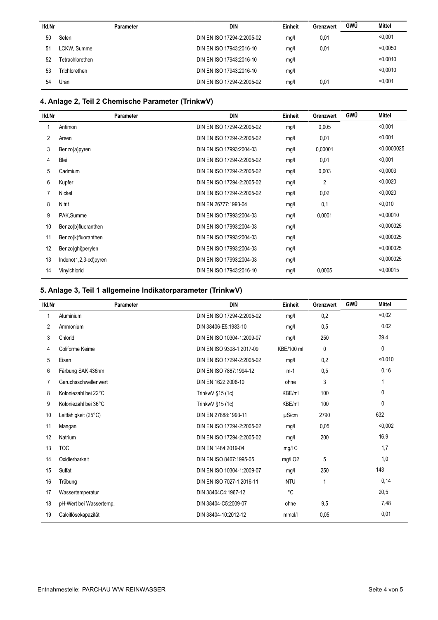| lfd.Nr | <b>Parameter</b> | <b>DIN</b>                 | Einheit | Grenzwert | <b>GWÜ</b> | Mittel   |
|--------|------------------|----------------------------|---------|-----------|------------|----------|
| 50     | Selen            | DIN EN ISO 17294-2:2005-02 | mg/l    | 0,01      |            | < 0.001  |
| 51     | LCKW, Summe      | DIN EN ISO 17943:2016-10   | mg/l    | 0,01      |            | < 0.0050 |
| 52     | Tetrachlorethen  | DIN EN ISO 17943:2016-10   | mg/l    |           |            | < 0.0010 |
| 53     | Trichlorethen    | DIN EN ISO 17943:2016-10   | mg/l    |           |            | < 0.0010 |
| 54     | Uran             | DIN EN ISO 17294-2:2005-02 | mg/l    | 0,01      |            | < 0.001  |

# 4. Anlage 2, Teil 2 Chemische Parameter (TrinkwV)

| lfd.Nr | Parameter             | <b>DIN</b>                 | Einheit | Grenzwert      | GWÜ | <b>Mittel</b> |
|--------|-----------------------|----------------------------|---------|----------------|-----|---------------|
|        | Antimon               | DIN EN ISO 17294-2:2005-02 | mg/l    | 0,005          |     | < 0.001       |
| 2      | Arsen                 | DIN EN ISO 17294-2:2005-02 | mg/l    | 0,01           |     | < 0,001       |
| 3      | Benzo(a)pyren         | DIN EN ISO 17993:2004-03   | mg/l    | 0,00001        |     | < 0,0000025   |
| 4      | Blei                  | DIN EN ISO 17294-2:2005-02 | mg/l    | 0,01           |     | < 0,001       |
| 5      | Cadmium               | DIN EN ISO 17294-2:2005-02 | mg/l    | 0,003          |     | < 0.0003      |
| 6      | Kupfer                | DIN EN ISO 17294-2:2005-02 | mg/l    | $\overline{2}$ |     | < 0.0020      |
|        | Nickel                | DIN EN ISO 17294-2:2005-02 | mg/l    | 0,02           |     | < 0.0020      |
| 8      | Nitrit                | DIN EN 26777:1993-04       | mg/l    | 0,1            |     | < 0.010       |
| 9      | PAK, Summe            | DIN EN ISO 17993:2004-03   | mg/l    | 0,0001         |     | < 0.00010     |
| 10     | Benzo(b)fluoranthen   | DIN EN ISO 17993:2004-03   | mg/l    |                |     | < 0.000025    |
| 11     | Benzo(k)fluoranthen   | DIN EN ISO 17993:2004-03   | mg/l    |                |     | < 0.000025    |
| 12     | Benzo(ghi)perylen     | DIN EN ISO 17993:2004-03   | mg/l    |                |     | < 0.000025    |
| 13     | Indeno(1,2,3-cd)pyren | DIN EN ISO 17993:2004-03   | mg/l    |                |     | < 0.000025    |
| 14     | Vinylchlorid          | DIN EN ISO 17943:2016-10   | mq/l    | 0,0005         |     | < 0.00015     |

# 5. Anlage 3, Teil 1 allgemeine Indikatorparameter (TrinkwV)

| <b>Parameter</b>        | <b>DIN</b>                 | Einheit    | Grenzwert    | GWÜ | <b>Mittel</b> |
|-------------------------|----------------------------|------------|--------------|-----|---------------|
| Aluminium               | DIN EN ISO 17294-2:2005-02 | mg/l       | 0,2          |     | < 0.02        |
| Ammonium                | DIN 38406-E5:1983-10       | mg/l       | 0,5          |     | 0,02          |
| Chlorid                 | DIN EN ISO 10304-1:2009-07 | mg/l       | 250          |     | 39,4          |
| Coliforme Keime         | DIN EN ISO 9308-1:2017-09  | KBE/100 ml | $\mathbf{0}$ |     | 0             |
| Eisen                   | DIN EN ISO 17294-2:2005-02 | mg/l       | 0,2          |     | < 0.010       |
| Färbung SAK 436nm       | DIN EN ISO 7887:1994-12    | $m-1$      | 0,5          |     | 0,16          |
| Geruchsschwellenwert    | DIN EN 1622:2006-10        | ohne       | 3            |     | 1             |
| Koloniezahl bei 22°C    | TrinkwV §15 (1c)           | KBE/ml     | 100          |     | $\mathbf{0}$  |
| Koloniezahl bei 36°C    | Trinkw $V$ §15 (1c)        | KBE/ml     | 100          |     | 0             |
| Leitfähigkeit (25°C)    | DIN EN 27888:1993-11       | $\mu$ S/cm | 2790         |     | 632           |
| Mangan                  | DIN EN ISO 17294-2:2005-02 | mg/l       | 0,05         |     | < 0.002       |
| Natrium                 | DIN EN ISO 17294-2:2005-02 | mg/l       | 200          |     | 16,9          |
| <b>TOC</b>              | DIN EN 1484:2019-04        | $mg/l$ C   |              |     | 1,7           |
| Oxidierbarkeit          | DIN EN ISO 8467:1995-05    | mg/l O2    | 5            |     | 1,0           |
| Sulfat                  | DIN EN ISO 10304-1:2009-07 | mg/l       | 250          |     | 143           |
| Trübung                 | DIN EN ISO 7027-1:2016-11  | <b>NTU</b> | $\mathbf{1}$ |     | 0,14          |
| Wassertemperatur        | DIN 38404C4:1967-12        | °C         |              |     | 20,5          |
| pH-Wert bei Wassertemp. | DIN 38404-C5:2009-07       | ohne       | 9,5          |     | 7,48          |
| Calcitlösekapazität     | DIN 38404-10:2012-12       | mmol/l     | 0,05         |     | 0,01          |
|                         |                            |            |              |     |               |